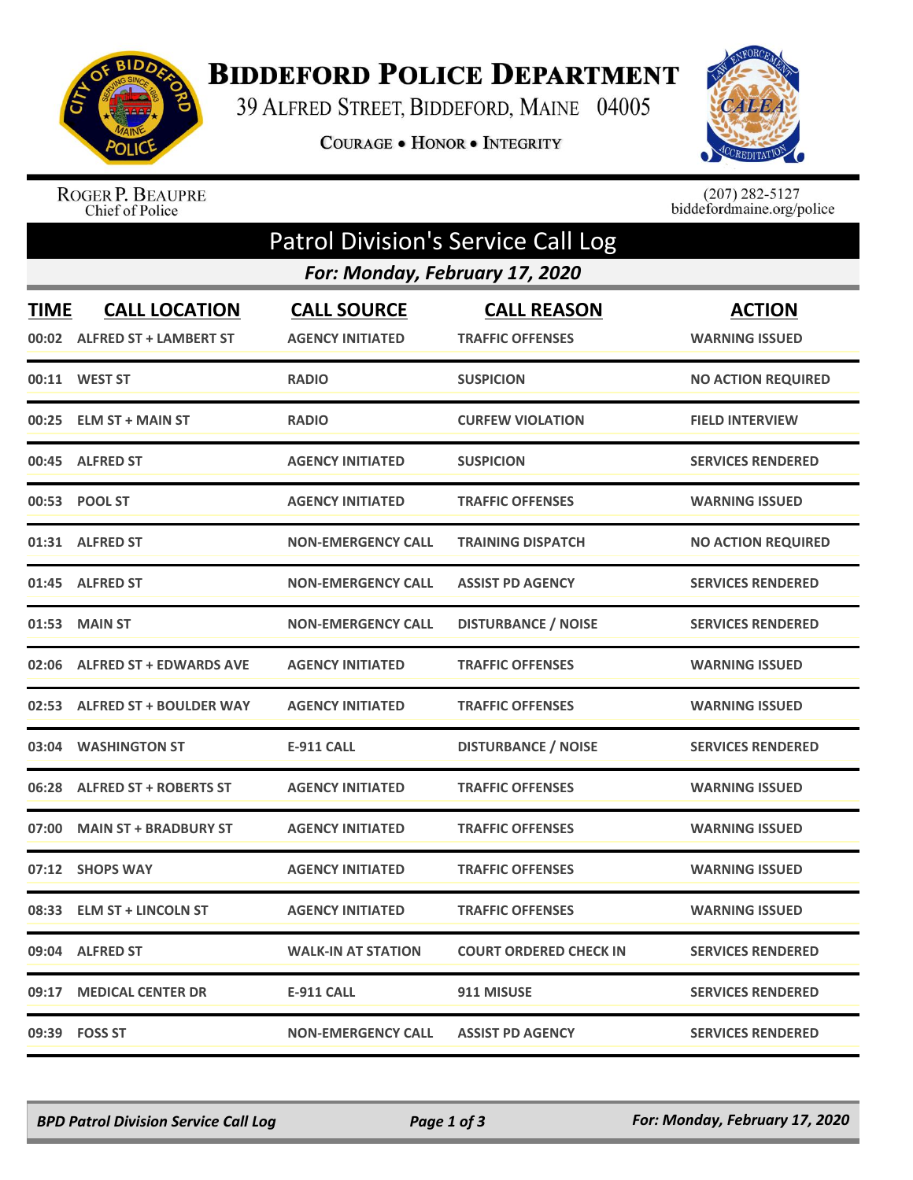

## **BIDDEFORD POLICE DEPARTMENT**

39 ALFRED STREET, BIDDEFORD, MAINE 04005

COURAGE . HONOR . INTEGRITY



ROGER P. BEAUPRE<br>Chief of Police

 $(207)$  282-5127<br>biddefordmaine.org/police

| <b>Patrol Division's Service Call Log</b> |                                                       |                                               |                                               |                                        |  |  |  |  |
|-------------------------------------------|-------------------------------------------------------|-----------------------------------------------|-----------------------------------------------|----------------------------------------|--|--|--|--|
|                                           | For: Monday, February 17, 2020                        |                                               |                                               |                                        |  |  |  |  |
| <b>TIME</b><br>00:02                      | <b>CALL LOCATION</b><br><b>ALFRED ST + LAMBERT ST</b> | <b>CALL SOURCE</b><br><b>AGENCY INITIATED</b> | <b>CALL REASON</b><br><b>TRAFFIC OFFENSES</b> | <b>ACTION</b><br><b>WARNING ISSUED</b> |  |  |  |  |
|                                           | 00:11 WEST ST                                         | <b>RADIO</b>                                  | <b>SUSPICION</b>                              | <b>NO ACTION REQUIRED</b>              |  |  |  |  |
|                                           | 00:25 ELM ST + MAIN ST                                | <b>RADIO</b>                                  | <b>CURFEW VIOLATION</b>                       | <b>FIELD INTERVIEW</b>                 |  |  |  |  |
| 00:45                                     | <b>ALFRED ST</b>                                      | <b>AGENCY INITIATED</b>                       | <b>SUSPICION</b>                              | <b>SERVICES RENDERED</b>               |  |  |  |  |
|                                           | 00:53 POOL ST                                         | <b>AGENCY INITIATED</b>                       | <b>TRAFFIC OFFENSES</b>                       | <b>WARNING ISSUED</b>                  |  |  |  |  |
|                                           | 01:31 ALFRED ST                                       | <b>NON-EMERGENCY CALL</b>                     | <b>TRAINING DISPATCH</b>                      | <b>NO ACTION REQUIRED</b>              |  |  |  |  |
| 01:45                                     | <b>ALFRED ST</b>                                      | <b>NON-EMERGENCY CALL</b>                     | <b>ASSIST PD AGENCY</b>                       | <b>SERVICES RENDERED</b>               |  |  |  |  |
| 01:53                                     | <b>MAIN ST</b>                                        | <b>NON-EMERGENCY CALL</b>                     | <b>DISTURBANCE / NOISE</b>                    | <b>SERVICES RENDERED</b>               |  |  |  |  |
| 02:06                                     | <b>ALFRED ST + EDWARDS AVE</b>                        | <b>AGENCY INITIATED</b>                       | <b>TRAFFIC OFFENSES</b>                       | <b>WARNING ISSUED</b>                  |  |  |  |  |
|                                           | 02:53 ALFRED ST + BOULDER WAY                         | <b>AGENCY INITIATED</b>                       | <b>TRAFFIC OFFENSES</b>                       | <b>WARNING ISSUED</b>                  |  |  |  |  |
| 03:04                                     | <b>WASHINGTON ST</b>                                  | <b>E-911 CALL</b>                             | <b>DISTURBANCE / NOISE</b>                    | <b>SERVICES RENDERED</b>               |  |  |  |  |
| 06:28                                     | <b>ALFRED ST + ROBERTS ST</b>                         | <b>AGENCY INITIATED</b>                       | <b>TRAFFIC OFFENSES</b>                       | <b>WARNING ISSUED</b>                  |  |  |  |  |
| 07:00                                     | <b>MAIN ST + BRADBURY ST</b>                          | <b>AGENCY INITIATED</b>                       | <b>TRAFFIC OFFENSES</b>                       | <b>WARNING ISSUED</b>                  |  |  |  |  |
|                                           | 07:12 SHOPS WAY                                       | <b>AGENCY INITIATED</b>                       | <b>TRAFFIC OFFENSES</b>                       | <b>WARNING ISSUED</b>                  |  |  |  |  |
|                                           | 08:33 ELM ST + LINCOLN ST                             | <b>AGENCY INITIATED</b>                       | <b>TRAFFIC OFFENSES</b>                       | <b>WARNING ISSUED</b>                  |  |  |  |  |
|                                           | 09:04 ALFRED ST                                       | <b>WALK-IN AT STATION</b>                     | <b>COURT ORDERED CHECK IN</b>                 | <b>SERVICES RENDERED</b>               |  |  |  |  |
|                                           | 09:17 MEDICAL CENTER DR                               | E-911 CALL                                    | 911 MISUSE                                    | <b>SERVICES RENDERED</b>               |  |  |  |  |
|                                           | 09:39 FOSS ST                                         | <b>NON-EMERGENCY CALL</b>                     | <b>ASSIST PD AGENCY</b>                       | <b>SERVICES RENDERED</b>               |  |  |  |  |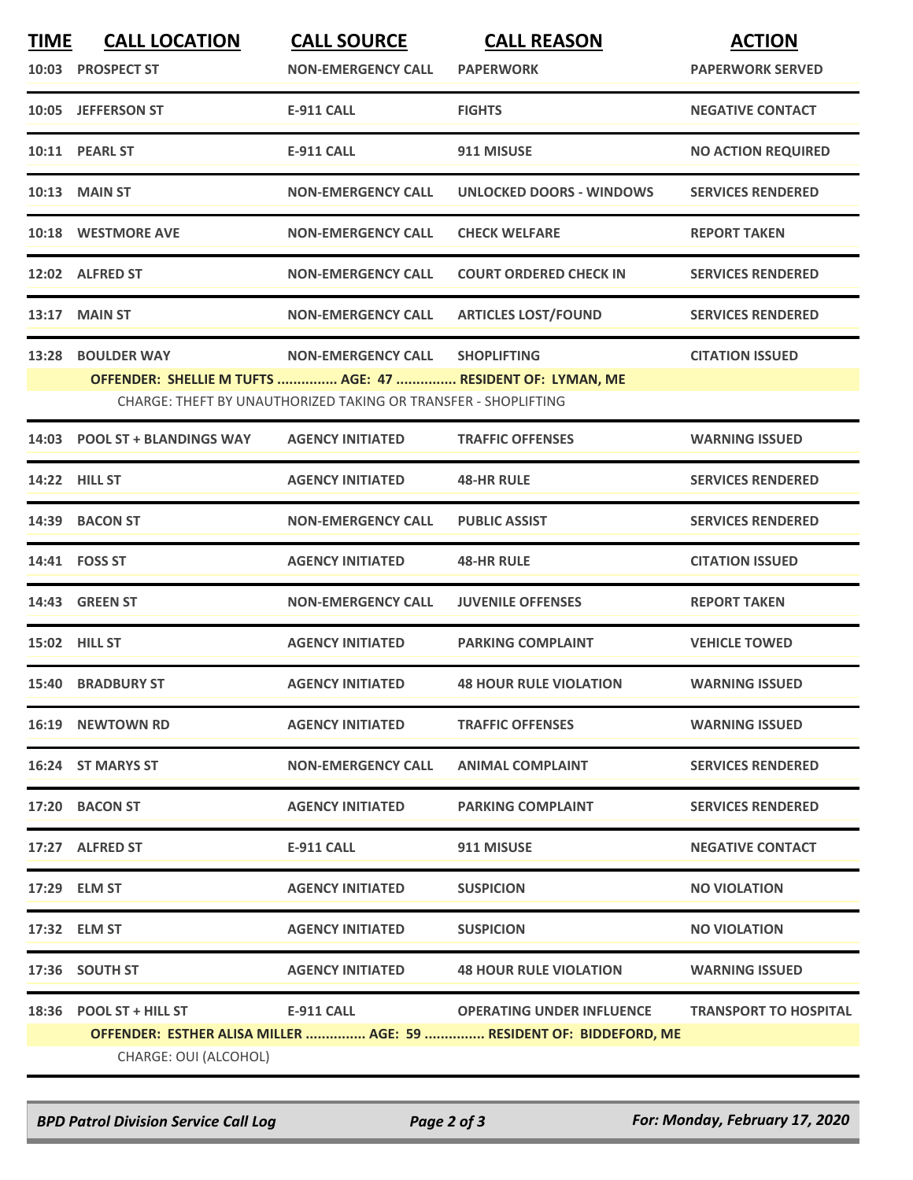| <u>TIME</u> | <b>CALL LOCATION</b>                                           | <b>CALL SOURCE</b>        | <b>CALL REASON</b>                                                                                     | <b>ACTION</b>                |  |  |  |  |
|-------------|----------------------------------------------------------------|---------------------------|--------------------------------------------------------------------------------------------------------|------------------------------|--|--|--|--|
|             | 10:03 PROSPECT ST                                              | <b>NON-EMERGENCY CALL</b> | <b>PAPERWORK</b>                                                                                       | <b>PAPERWORK SERVED</b>      |  |  |  |  |
|             | 10:05 JEFFERSON ST                                             | <b>E-911 CALL</b>         | <b>FIGHTS</b>                                                                                          | <b>NEGATIVE CONTACT</b>      |  |  |  |  |
|             | 10:11 PEARL ST                                                 | <b>E-911 CALL</b>         | 911 MISUSE                                                                                             | <b>NO ACTION REQUIRED</b>    |  |  |  |  |
|             | <b>10:13 MAIN ST</b>                                           | <b>NON-EMERGENCY CALL</b> | <b>UNLOCKED DOORS - WINDOWS</b>                                                                        | <b>SERVICES RENDERED</b>     |  |  |  |  |
|             | 10:18 WESTMORE AVE                                             | <b>NON-EMERGENCY CALL</b> | <b>CHECK WELFARE</b>                                                                                   | <b>REPORT TAKEN</b>          |  |  |  |  |
|             | 12:02 ALFRED ST                                                | <b>NON-EMERGENCY CALL</b> | <b>COURT ORDERED CHECK IN</b>                                                                          | <b>SERVICES RENDERED</b>     |  |  |  |  |
|             | 13:17 MAIN ST                                                  | <b>NON-EMERGENCY CALL</b> | <b>ARTICLES LOST/FOUND</b>                                                                             | <b>SERVICES RENDERED</b>     |  |  |  |  |
|             | 13:28 BOULDER WAY                                              | <b>NON-EMERGENCY CALL</b> | <b>SHOPLIFTING</b>                                                                                     | <b>CITATION ISSUED</b>       |  |  |  |  |
|             | OFFENDER: SHELLIE M TUFTS  AGE: 47  RESIDENT OF: LYMAN, ME     |                           |                                                                                                        |                              |  |  |  |  |
|             | CHARGE: THEFT BY UNAUTHORIZED TAKING OR TRANSFER - SHOPLIFTING |                           |                                                                                                        |                              |  |  |  |  |
|             | 14:03 POOL ST + BLANDINGS WAY                                  | <b>AGENCY INITIATED</b>   | <b>TRAFFIC OFFENSES</b>                                                                                | <b>WARNING ISSUED</b>        |  |  |  |  |
|             | 14:22 HILL ST                                                  | <b>AGENCY INITIATED</b>   | <b>48-HR RULE</b>                                                                                      | <b>SERVICES RENDERED</b>     |  |  |  |  |
|             | 14:39 BACON ST                                                 | <b>NON-EMERGENCY CALL</b> | <b>PUBLIC ASSIST</b>                                                                                   | <b>SERVICES RENDERED</b>     |  |  |  |  |
|             | 14:41 FOSS ST                                                  | <b>AGENCY INITIATED</b>   | <b>48-HR RULE</b>                                                                                      | <b>CITATION ISSUED</b>       |  |  |  |  |
|             | 14:43 GREEN ST                                                 | <b>NON-EMERGENCY CALL</b> | <b>JUVENILE OFFENSES</b>                                                                               | <b>REPORT TAKEN</b>          |  |  |  |  |
|             | 15:02 HILL ST                                                  | <b>AGENCY INITIATED</b>   | <b>PARKING COMPLAINT</b>                                                                               | <b>VEHICLE TOWED</b>         |  |  |  |  |
|             | <b>15:40 BRADBURY ST</b>                                       | <b>AGENCY INITIATED</b>   | <b>48 HOUR RULE VIOLATION</b>                                                                          | <b>WARNING ISSUED</b>        |  |  |  |  |
|             | 16:19 NEWTOWN RD                                               | <b>AGENCY INITIATED</b>   | <b>TRAFFIC OFFENSES</b>                                                                                | <b>WARNING ISSUED</b>        |  |  |  |  |
|             | 16:24 ST MARYS ST                                              | <b>NON-EMERGENCY CALL</b> | <b>ANIMAL COMPLAINT</b>                                                                                | <b>SERVICES RENDERED</b>     |  |  |  |  |
|             | 17:20 BACON ST                                                 | <b>AGENCY INITIATED</b>   | <b>PARKING COMPLAINT</b>                                                                               | <b>SERVICES RENDERED</b>     |  |  |  |  |
|             | 17:27 ALFRED ST                                                | <b>E-911 CALL</b>         | 911 MISUSE                                                                                             | <b>NEGATIVE CONTACT</b>      |  |  |  |  |
|             | 17:29 ELM ST                                                   | <b>AGENCY INITIATED</b>   | <b>SUSPICION</b>                                                                                       | <b>NO VIOLATION</b>          |  |  |  |  |
|             | 17:32 ELM ST                                                   | <b>AGENCY INITIATED</b>   | <b>SUSPICION</b>                                                                                       | <b>NO VIOLATION</b>          |  |  |  |  |
|             | 17:36 SOUTH ST                                                 | <b>AGENCY INITIATED</b>   | <b>48 HOUR RULE VIOLATION</b>                                                                          | <b>WARNING ISSUED</b>        |  |  |  |  |
| 18:36       | <b>POOL ST + HILL ST</b><br>CHARGE: OUI (ALCOHOL)              | <b>E-911 CALL</b>         | <b>OPERATING UNDER INFLUENCE</b><br>OFFENDER: ESTHER ALISA MILLER  AGE: 59  RESIDENT OF: BIDDEFORD, ME | <b>TRANSPORT TO HOSPITAL</b> |  |  |  |  |

*BPD Patrol Division Service Call Log Page 2 of 3 For: Monday, February 17, 2020*